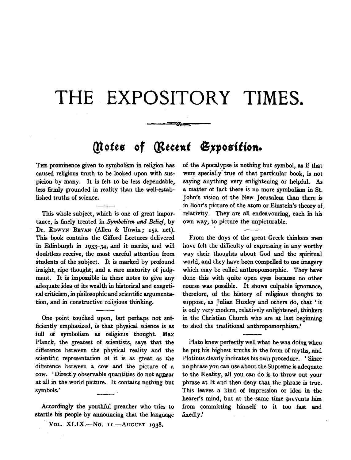## **THE EXPOSITORY TIMES.**

## Motes of Recent Exposition.

ويستل والمست

THE prominence given to symbolism in religion has caused religious truth to be looked upon with suspicion by many. It is felt to be less dependable, less firmly grounded in reality than the well-established truths of science.

This whole subject, which is one of great importance, is finely treated in *Symbolism and Belief,* by Dr. EnWYN BEVAN {Alien & Unwin; 15s. net). This book contains the Gifford Lectures delivered in Edinburgh in 1933-34, and it merits, and will doubtless receive, the most careful attention from students of the subject. It is marked by profound insight, ripe thought, and a rare maturity of judgment. It is impossible in these notes to give any adequate idea of its wealth in historical and exegetical criticism, in philosophic and scientific argumentation, and in constructive religious thinking.

One point touched upon, but perhaps not sufficiently emphasized, is that physical science is as full of symbolism as religious thought. Max Planck, the greatest of scientists, says that the difference between the physical reality and the scientific representation of it is as great as the difference between a cow and the picture of a cow. 'Directly observable quantities do not appear ow. Ductuy observable qualities no not appear<br>t all in the world picture. It contains nothing but symbols.'

Accordingly the youthful preacher who tries to startle his people by announcing that the language

Vol. XLIX.-No. 11.-August 1938.

of the Apocalypse is nothing but symbol, as if that were specially· true of that particular book, is not saying anything very enlightening or helpful. As a matter of fact there is no more symbolism in St. John's vision of the New Jerusalem than there is in Bohr's picture of the atom or Einstein's theory of. relativity. They are all endeavouring, each in his own way, to picture the unpicturable.

From the days of the great Greek thinkers men have felt the difficulty of expressing in any worthy way their thoughts about God and the spiritual world, and they have been compelled to use imagery which may be called anthropomorphic. They have done this with quite open eyes because no other course was possible. It shows culpable ignorance, therefore, of the history of religious thought to suppose, as Julian Huxley and others do, that 'it is only very modem, relatively enlightened, thinkers in the Christian Church who are at last beginning to shed the traditional anthropomorphism.'

Plato knew perfectly well what he was doing when he pu\ his highest truths in the form of myths, and Plotinus clearly indicates his own procedure. ' Since no phrase you can use about the Supreme is adequate to the Reality, all you can do is to throw out your phrase at It and then deny that the phrase is true. This leaves a kind of impression or idea in the hearer's mind, but at the same time prevents him from committing himself to it too fast and fixedly.'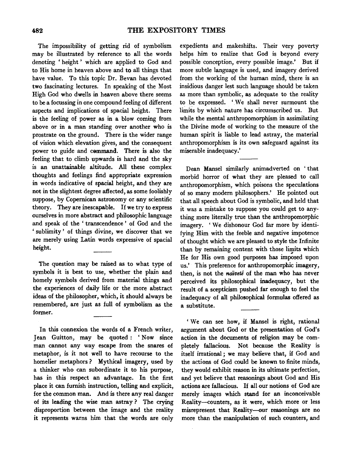The impossibility of getting rid of symbolism may be illustrated by reference to all the words denoting ' height ' which are applied to God and to His home in heaven above and to all things that have value. To this topic Dr. Bevan has devoted two fascinating lectures. In speaking of the Most High God who dwells in heaven above there seems to be a focussing in one compound feeling of different aspects and implications of spacial height. There is the feeling of power as in a blow coming from above or in a man standing over another who is prostrate on the ground. There is the wider range of vision which elevation gives, and the consequent power to guide and cemmand. There is also the feeling that to climb upwards is hard and the sky is an unattainable altitude. All these complex thoughts and feelings find appropriate expression in words indicative of spacial height, and they are not in the slightest degree affected, as some foolishly suppose, by Copernican astronomy or any scientific theory. They are inescapable. If we try to express ourselves in more abstract and philosophic language and speak of the ' transcendence ' of God and the 'sublimity' of things divine, we discover that we are merely using Latin words expressive of spacial height.

The question may be raised as to what type of symbols it is best to use, whether the plain and homely symbols derived from material things and the experiences of daily life or the more abstract ideas of the philosopher, which, it should always be remembered, are just as full of symbolism as the former.

In this connexion the words of a French writer, Jean Guitton, may be quoted: 'Now since man cannot any way escape from the snares of metaphor, is it not well to have recourse to the homelier metaphors? Mythical imagery, used by a thinker who can subordinate it to his purpose, has in this respect an advantage. In the first place it can furnish instruction, telling and explicit, for the common man. And is there any real danger of its leading the wise man astray? The crying disproportion between the image and the reality it represents warns him that the words are only

expedients and makeshifts. Their very poverty helps him to realize that God is beyond every possible conception, every possible image.' But if more subtle language is used, and imagery derived from the working of the human mind, there is an insidious danger lest such language should be taken as more than symbolic, as adequate to the reality to be expressed. 'We shall never surmount the limits by which nature has circumscribed us. But while the mental anthropomorphism in assimilating the Divine mode of working to the measure of the human spirit is liable to lead astray, the material anthropomorphism is its own safeguard against its miserable inadequacy.'

Dean Mansel similarly animadverted on ' that morbid horror of what they are pleased to call anthropomorphism, which poisons the speculations of so many modern philosophers.' He pointed out that all speech about God is symbolic, and held that it was a mistake to suppose you could get to anything more literally true than the anthropomorphic imagery. 'We dishonour God far more by identifying Him with the feeble and negative impotence of thought which we are pleased to style the Infinite than by remaining content with those limits which He for His own good purposes has imposed upon us.' This preference for anthropomorphic imagery, then, is not the *naivete* of the man who has never perceived its philosophical inadequacy, but the result of a scepticism pushed far enough to feel the inadequacy of all philosophical formulas offered as a substitute.

'We can see how, if Mansel is right, rational argument about God or the presentation of God's action in the documents of religion may be completely fallacious. Not because the Reality is itself irrational ; we may believe that, if God and the actions of God could be known to finite minds, they would exhibit reason in its ultimate perfection, and yet believe that reasonings about God and His actions are fallacious. If all our notions of God are merely images which stand for an inconceivable Reality-counters, as it were, which more or less misrepresent that Reality-our reasonings are no more than the manipulation of such counters, and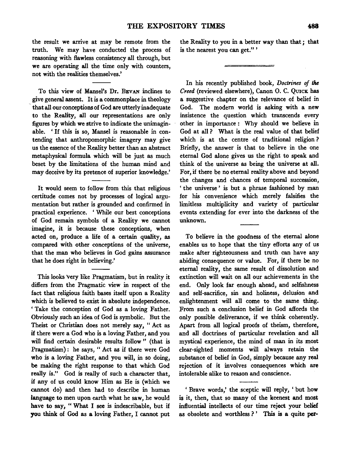the result we arrive at may be remote from the truth. We may have conducted the process of reasoning with flawless consistency all through, but we are operating all the time only with counters, not with the realities themselves.'

To this view of Mansel's Dr. BEVAN inclines to give general assent. It is a commonplace in theology that all our conceptions of God are utterly inadequate to the Reality, all our representations are only figures by which we strive to indicate the unimaginable. ' If this is so, Mansel is reasonable in contending that anthropomorphic imagery may give us the essence of the Reality better than an abstract metaphysical formula which will be just as much beset by the limitations of the human mind and may deceive by its pretence of superior knowledge.'

It would seem to follow from this that religious certitude comes not by processes of logical argumentation but rather is grounded and confirmed in practical experience. ' While our best conceptions of God remain symbols of a Reality we cannot imagine, it is because these conceptions, when acted on, produce a life of a certain quality, as compared with other conceptions of the universe, that the man who believes in God gains assurance that he does right in believing.'

This looks very like Pragmatism, but in reality it differs from the Pragmatic view in respect of the fact that religious faith bases itself upon a Reality which is believed to exist in absolute independence. ' Take the conception of God as a loving Father. Obviously such an idea of God is symbolic. But the Theist or Christian does not merely say, " Act as if there were a God who is a loving Father, and you will find certain desirable results follow " (that is Pragmatism): he says, "Act as if there were God who is a loving Father, and you will, in so doing, be making the right response to that which God really is.'' God is really of such a character that, if any of us could know Him as He is (which we cannot do) and then had to describe in human language to men upon earth what he saw, he would have to say, "What I see is indescribable, but if you think of God as a loving Father, I cannot put the Reality to you in a better way than that ; that is the nearest you can get." '

In his recently published book, *Doctrines of the Creed* (reviewed elsewhere), Canon 0. C. QmcK has a suggestive chapter on the relevance of belief in God. The modem world is asking with a new insistence the question which transcends every other in importance : Why should we believe in God at all ? What is the real value of that belief which is at the centre of traditional religion ? Briefly, the answer is that to believe in the one eternal God alone gives us the right to speak and think of the universe as being the universe at all. For, if there be no eternal reality above and beyond the changes and chances of temporal succession, ' the universe ' is but a phrase fashioned by man for his convenience which merely falsifies the limitless multiplicity and variety of particular events extending for ever into the darkness of the unknown.

To believe in the goodness of the eternal alone enables us to hope that the tiny efforts any of us make after righteousness and truth can have any abiding consequence or value. For, if there be no eternal reality, the same result of dissolution and extinction will wait on all our achievements in the end. Only look far enough ahead, and selfishness and self-sacrifice, sin and holiness, delusion and enlightenment will all come to the same thing. From such a conclusion belief in God affords the only possible deliverance, if we think coherently. Apart from all logical proofs of theism, therefore, and all doctrines of particular revelation and all mystical experience, the mind of man in its most clear-sighted moments will always retain the substance of belief in God, simply because any real rejection of it involves consequences which are intolerable alike to reason and conscience.

'Brave words,' the sceptic will reply, 'but how is it, then, that so many of the keenest and most influential intellects of our time reject your belief as obsolete and worthless?' This is a quite per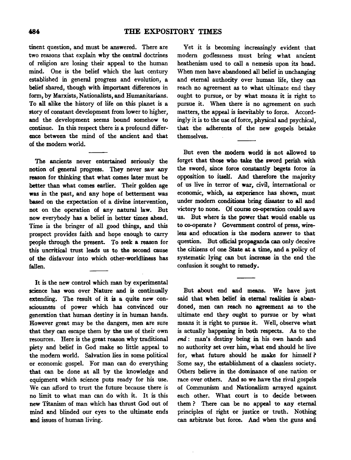tinent question, and must be answered. There are two reasons that explain why the central doctrines of religion are losing their appeal to the human mind. One is the belief which the last century established in general progress and evolution, a belief shared, though with important differences in form, by Marxists, Nationalists, and Humanitarians. To all alike the history of life on this planet is a story of constant development from lower to higher, and the development seems bound somehow to continue. In this respect there is a profound difference between the mind of the ancient and that of the modern world.

The ancients never entertained seriously the notion of general progress. They never saw any reason for thinking that what comes later must be better than what comes earlier. Their golden age was in the past, and any hope of betterment was based on the expectation of a divine intervention, not on the operation of any natural law. But now everybody has a belief in better times ahead. Time is the bringer of all good things, and this prospect provides faith and hope enough to carry people through the present. To seek a reason for this uncritical trust leads us to the second cause of the disfavour into which other-worldliness has fallen.

It is the new control which man by experimental science has won over Nature and is continually extending. The result of it is a quite new consciousness of power which has convinced our generation that human destiny is in human hands. However great may be the dangers, men are sure that they can escape them by the use of their own resources. Here is the great reason why traditional piety and belief in God make so little appeal to the modern world. Salvation lies in some political or economic gospel. For man can do everything that can be done at all by the knowledge and equipment which science puts ready for his use. We can afford to trust the future because there is no limit to what man can do with it. It is this new Titanism of man which has thrust God out of mind and blinded our eyes to the ultimate ends and issues of human living.

Yet it is becoming increasingly evident that modem godlessness must bring what ancient heathenism used to call a nemesis upon its head. When men have abandoned all belief in unchanging and eternal authority over human life, they can reach no agreement as to what ultimate end they ought to pursue, or by what means it is right to pursue it. When there is no agreement on such matters, the appeal is inevitably to force. Accordingly it is to the use of force, physical and psychical, that the adherents of the new gospels betake themselves.

But even the modem world is not allowed to forget that those who take the sword perish with the sword, since force constantly begets force in opposition to itself. And therefore the majority of us live in terror of war, civil, international or economic, which, as experience has shown, must under modem conditions bring disaster to all and victory to none. Of course co-operation could save us. But where is the power that would enable us to co-operate ? Government control of press, wireless and education is the modem answer to that question. But official propaganda can only deceive the citizens of one State at a time, and a policy of systematic lying can but increase in the end the confusion it sought to remedy.

But about end and means. We have just said that when belief in eternal realities is abandoned, men can reach no agreement as to the ultimate end they- ought to pursue or by what means it is right to pursue it. Well, observe what is actually happening in both respects. As to the *end* : man's destiny being in his own hands and no authority set over him, what end should he live for, what future should he make for himself? Some say, the establishment of a classless society. Others believe in the dominance of one nation or race over others. And so we have the rival gospels of Communism and Nationalism arrayed against each other. What court is to decide between them ? There can be no appeal to any eternal principles of right or justice or truth. Nothing can arbitrate but force. And when the guns and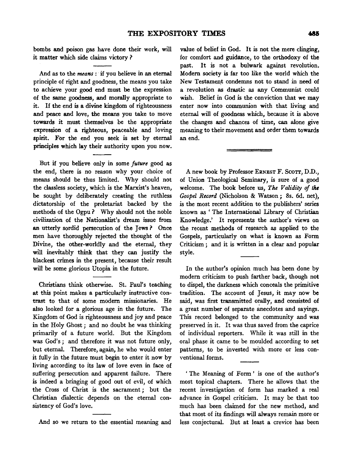bombs and poison gas have done their work, will it matter which side claims victory ?

And as to the *means* : if you believe in an eternal principle of right and goodness, the means you take to achieve your good end must be the expression of the same goodness, and morally appropriate to it. If the end is a divine kingdom of righteousness and peace and love, the means you take to move towards it must themselves be the appropriate expression of a righteous, peaceable and loving spirit. For the end you seek is set by eternal principles which lay their authority upon you now.

But if you believe only in some *future* good as the end, there is no reason why your choice of means should be thus limited. Why should not the classless society, which is the Marxist's heaven, be sought by deliberately creating the ruthless dictatorship of the proletariat backed by the methods of the Ogpu ? Why should not the noble civilization of the Nationalist's dream issue from an utterly sordid persecution of the Jews ? Once men have thoroughly rejected the thought of the Divine, the other-worldly and the eternal, they will inevitably think that they can justify the blackest crimes in the present, because their result will be some glorious Utopia in the future.

Christians think otherwise. St. Paul's teaching at this point makes a particularly instructive contrast to that of some modern missionaries. He also looked for a glorious age in the future. The Kingdom of God is righteousness and joy and peace in the Holy Ghost ; and no doubt he was thinking primarily of a future world. But the Kingdom was God's ; and therefore it was not future only, but eternal. Therefore, again, he who would enter it fully in the future must begin to enter it now by living according to its law of love even in face of suffering persecution and apparent failure. There is indeed a bringing of good out of evil, of which the Cross of Christ is the sacrament ; but the Christian dialectic depends on the eternal consistency of God's love.

And so we return to the essential meaning and

value of belief in God. It is not the mere clinging, for comfort and guidance, to the orthodoxy of the past. It is not a bulwark against revolution. Modern society is far too like the world which the New Testament condemns not to stand in need of a revolution as drastic as any Communist could wish. Belief in God is the conviction that we may enter now into communion with that living and eternal will of goodness which, because it is above the changes and chances of time, can alone give meaning to their movement and order them towards an end.

A new book by Professor ERNEST F. SCOTT, D.D., of Union Theological Seminary, is sure of a good welcome. The book before us, *The Validity of the Gospel Record* (Nicholson & Watson; 8s. 6d. net), is the most recent addition to the publishers' series known as ' The International Library of Christian Knowledge.' It represents the author's views on the recent methods of research as applied to the Gospels, particularly on what is known as Form Criticism ; and it is written in a clear and popular style.

In the author's opinion much has been done by modern criticism to push farther back, though not to dispel, the darkness which conceals the primitive tradition. The account of Jesus, it may now be said, was first transmitted orally, and consisted of a great number of separate anecdotes and sayings. This record belonged to the community and was preserved in it. It was thus saved from the caprice of individual reporters. While it was still in the oral phase it came to be moulded according to set patterns, to be invested with more or less conventional forms.

'The Meaning of Form' is one of the author's most topical chapters. There he allows that the recent investigation of form has marked a real advance in Gospel criticism. It may be that too much has been claimed for the new method, and that most of its findings will always remain more or less conjectural. But at least a crevice has been